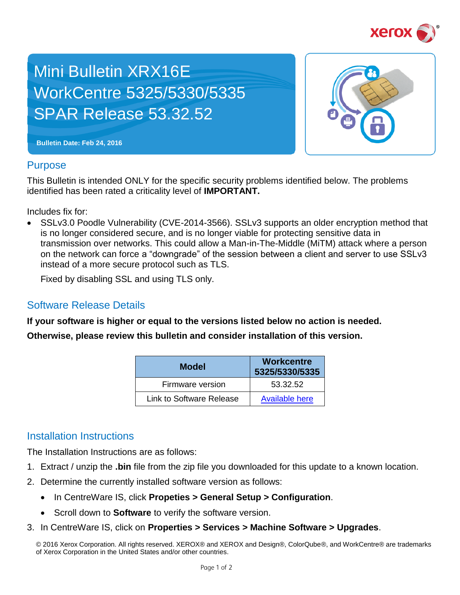

## Mini Bulletin XRX16E WorkCentre 5325/5330/5335 SPAR Release 53.32.52



**Bulletin Date: Feb 24, 2016**

## **Purpose**

This Bulletin is intended ONLY for the specific security problems identified below. The problems identified has been rated a criticality level of **IMPORTANT.** 

Includes fix for:

 SSLv3.0 Poodle Vulnerability (CVE-2014-3566). SSLv3 supports an older encryption method that is no longer considered secure, and is no longer viable for protecting sensitive data in transmission over networks. This could allow a Man-in-The-Middle (MiTM) attack where a person on the network can force a "downgrade" of the session between a client and server to use SSLv3 instead of a more secure protocol such as TLS.

Fixed by disabling SSL and using TLS only.

## Software Release Details

**If your software is higher or equal to the versions listed below no action is needed.**

**Otherwise, please review this bulletin and consider installation of this version.** 

| <b>Model</b>             | <b>Workcentre</b><br>5325/5330/5335 |
|--------------------------|-------------------------------------|
| Firmware version         | 53.32.52                            |
| Link to Software Release | <b>Available here</b>               |

## Installation Instructions

The Installation Instructions are as follows:

- 1. Extract / unzip the **.bin** file from the zip file you downloaded for this update to a known location.
- 2. Determine the currently installed software version as follows:
	- In CentreWare IS, click **Propeties > General Setup > Configuration**.
	- **Scroll down to Software** to verify the software version.
- 3. In CentreWare IS, click on **Properties > Services > Machine Software > Upgrades**.

© 2016 Xerox Corporation. All rights reserved. XEROX® and XEROX and Design®, ColorQube®, and WorkCentre® are trademarks of Xerox Corporation in the United States and/or other countries.